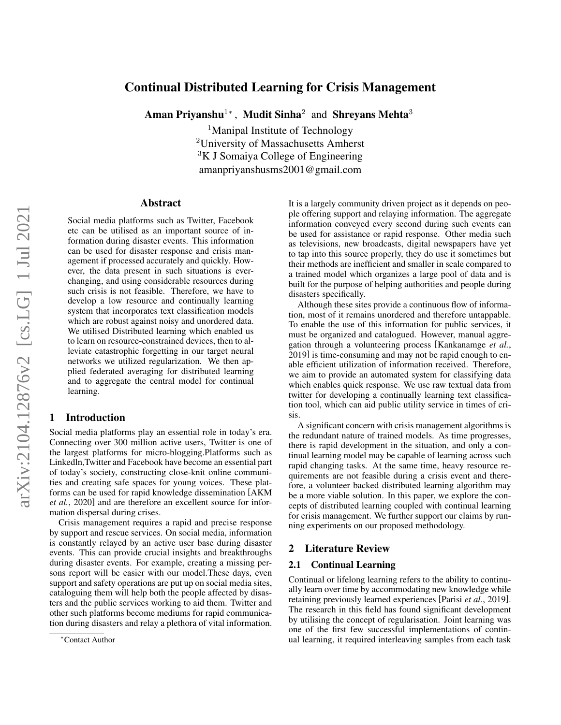# Continual Distributed Learning for Crisis Management

Aman Priyanshu $^{1*}$ , Mudit Sinha $^2$  and Shreyans Mehta $^3$ 

<sup>1</sup>Manipal Institute of Technology <sup>2</sup>University of Massachusetts Amherst  ${}^{3}$ K J Somaiya College of Engineering amanpriyanshusms2001@gmail.com

#### Abstract

Social media platforms such as Twitter, Facebook etc can be utilised as an important source of information during disaster events. This information can be used for disaster response and crisis management if processed accurately and quickly. However, the data present in such situations is everchanging, and using considerable resources during such crisis is not feasible. Therefore, we have to develop a low resource and continually learning system that incorporates text classification models which are robust against noisy and unordered data. We utilised Distributed learning which enabled us to learn on resource-constrained devices, then to alleviate catastrophic forgetting in our target neural networks we utilized regularization. We then applied federated averaging for distributed learning and to aggregate the central model for continual learning.

## 1 Introduction

Social media platforms play an essential role in today's era. Connecting over 300 million active users, Twitter is one of the largest platforms for micro-blogging.Platforms such as Linkedln,Twitter and Facebook have become an essential part of today's society, constructing close-knit online communities and creating safe spaces for young voices. These platforms can be used for rapid knowledge dissemination [\[AKM](#page-4-0) *et al.*[, 2020\]](#page-4-0) and are therefore an excellent source for information dispersal during crises.

Crisis management requires a rapid and precise response by support and rescue services. On social media, information is constantly relayed by an active user base during disaster events. This can provide crucial insights and breakthroughs during disaster events. For example, creating a missing persons report will be easier with our model.These days, even support and safety operations are put up on social media sites, cataloguing them will help both the people affected by disasters and the public services working to aid them. Twitter and other such platforms become mediums for rapid communication during disasters and relay a plethora of vital information. It is a largely community driven project as it depends on people offering support and relaying information. The aggregate information conveyed every second during such events can be used for assistance or rapid response. Other media such as televisions, new broadcasts, digital newspapers have yet to tap into this source properly, they do use it sometimes but their methods are inefficient and smaller in scale compared to a trained model which organizes a large pool of data and is built for the purpose of helping authorities and people during disasters specifically.

Although these sites provide a continuous flow of information, most of it remains unordered and therefore untappable. To enable the use of this information for public services, it must be organized and catalogued. However, manual aggregation through a volunteering process [\[Kankanamge](#page-4-1) *et al.*, [2019\]](#page-4-1) is time-consuming and may not be rapid enough to enable efficient utilization of information received. Therefore, we aim to provide an automated system for classifying data which enables quick response. We use raw textual data from twitter for developing a continually learning text classification tool, which can aid public utility service in times of crisis.

A significant concern with crisis management algorithms is the redundant nature of trained models. As time progresses, there is rapid development in the situation, and only a continual learning model may be capable of learning across such rapid changing tasks. At the same time, heavy resource requirements are not feasible during a crisis event and therefore, a volunteer backed distributed learning algorithm may be a more viable solution. In this paper, we explore the concepts of distributed learning coupled with continual learning for crisis management. We further support our claims by running experiments on our proposed methodology.

## 2 Literature Review

#### 2.1 Continual Learning

Continual or lifelong learning refers to the ability to continually learn over time by accommodating new knowledge while retaining previously learned experiences [Parisi *et al.*[, 2019\]](#page-4-2). The research in this field has found significant development by utilising the concept of regularisation. Joint learning was one of the first few successful implementations of continual learning, it required interleaving samples from each task

<sup>∗</sup>Contact Author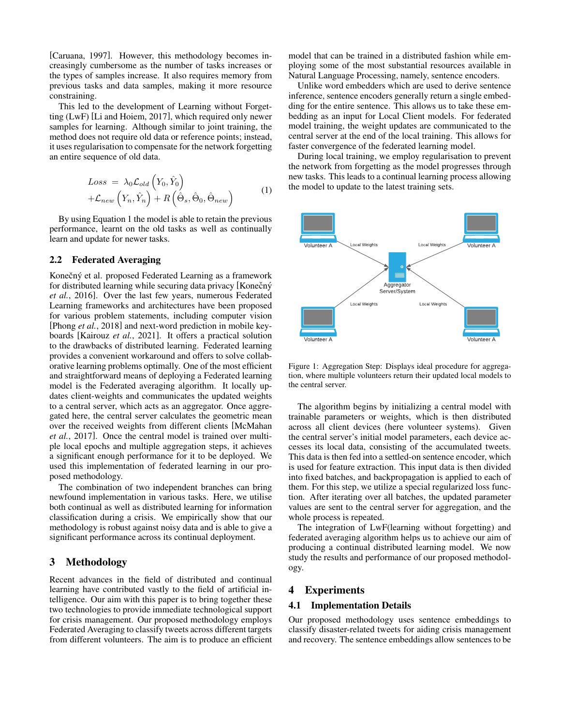[\[Caruana, 1997\]](#page-4-3). However, this methodology becomes increasingly cumbersome as the number of tasks increases or the types of samples increase. It also requires memory from previous tasks and data samples, making it more resource constraining.

This led to the development of Learning without Forgetting (LwF) [\[Li and Hoiem, 2017\]](#page-4-4), which required only newer samples for learning. Although similar to joint training, the method does not require old data or reference points; instead, it uses regularisation to compensate for the network forgetting an entire sequence of old data.

<span id="page-1-0"></span>
$$
Loss = \lambda_0 \mathcal{L}_{old} \left( Y_0, \hat{Y}_0 \right) + \mathcal{L}_{new} \left( Y_n, \hat{Y}_n \right) + R \left( \hat{\Theta}_s, \hat{\Theta}_0, \hat{\Theta}_{new} \right)
$$
(1)

By using Equation [1](#page-1-0) the model is able to retain the previous performance, learnt on the old tasks as well as continually learn and update for newer tasks.

#### 2.2 Federated Averaging

Konečný et al. proposed Federated Learning as a framework for distributed learning while securing data privacy [Konečný *et al.*[, 2016\]](#page-4-5). Over the last few years, numerous Federated Learning frameworks and architectures have been proposed for various problem statements, including computer vision [\[Phong](#page-4-6) *et al.*, 2018] and next-word prediction in mobile keyboards [\[Kairouz](#page-4-7) *et al.*, 2021]. It offers a practical solution to the drawbacks of distributed learning. Federated learning provides a convenient workaround and offers to solve collaborative learning problems optimally. One of the most efficient and straightforward means of deploying a Federated learning model is the Federated averaging algorithm. It locally updates client-weights and communicates the updated weights to a central server, which acts as an aggregator. Once aggregated here, the central server calculates the geometric mean over the received weights from different clients [\[McMahan](#page-4-8) *et al.*[, 2017\]](#page-4-8). Once the central model is trained over multiple local epochs and multiple aggregation steps, it achieves a significant enough performance for it to be deployed. We used this implementation of federated learning in our proposed methodology.

The combination of two independent branches can bring newfound implementation in various tasks. Here, we utilise both continual as well as distributed learning for information classification during a crisis. We empirically show that our methodology is robust against noisy data and is able to give a significant performance across its continual deployment.

## 3 Methodology

Recent advances in the field of distributed and continual learning have contributed vastly to the field of artificial intelligence. Our aim with this paper is to bring together these two technologies to provide immediate technological support for crisis management. Our proposed methodology employs Federated Averaging to classify tweets across different targets from different volunteers. The aim is to produce an efficient model that can be trained in a distributed fashion while employing some of the most substantial resources available in Natural Language Processing, namely, sentence encoders.

Unlike word embedders which are used to derive sentence inference, sentence encoders generally return a single embedding for the entire sentence. This allows us to take these embedding as an input for Local Client models. For federated model training, the weight updates are communicated to the central server at the end of the local training. This allows for faster convergence of the federated learning model.

During local training, we employ regularisation to prevent the network from forgetting as the model progresses through new tasks. This leads to a continual learning process allowing the model to update to the latest training sets.



Figure 1: Aggregation Step: Displays ideal procedure for aggregation, where multiple volunteers return their updated local models to the central server.

The algorithm begins by initializing a central model with trainable parameters or weights, which is then distributed across all client devices (here volunteer systems). Given the central server's initial model parameters, each device accesses its local data, consisting of the accumulated tweets. This data is then fed into a settled-on sentence encoder, which is used for feature extraction. This input data is then divided into fixed batches, and backpropagation is applied to each of them. For this step, we utilize a special regularized loss function. After iterating over all batches, the updated parameter values are sent to the central server for aggregation, and the whole process is repeated.

The integration of LwF(learning without forgetting) and federated averaging algorithm helps us to achieve our aim of producing a continual distributed learning model. We now study the results and performance of our proposed methodology.

## 4 Experiments

#### 4.1 Implementation Details

Our proposed methodology uses sentence embeddings to classify disaster-related tweets for aiding crisis management and recovery. The sentence embeddings allow sentences to be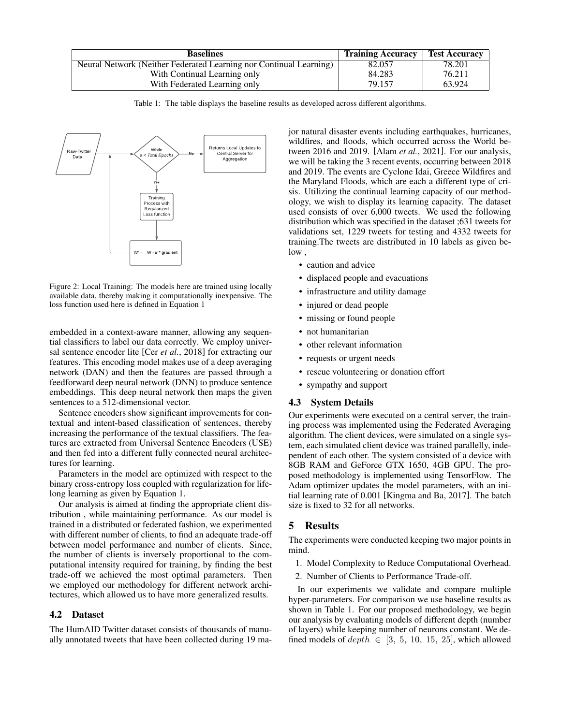<span id="page-2-0"></span>

| <b>Baselines</b>                                                   | <b>Training Accuracy</b> | <b>Test Accuracy</b> |
|--------------------------------------------------------------------|--------------------------|----------------------|
| Neural Network (Neither Federated Learning nor Continual Learning) | 82.057                   | 78.201               |
| With Continual Learning only                                       | 84.283                   | 76.211               |
| With Federated Learning only                                       | 79.157                   | 63.924               |

Table 1: The table displays the baseline results as developed across different algorithms.



Figure 2: Local Training: The models here are trained using locally available data, thereby making it computationally inexpensive. The loss function used here is defined in Equation [1](#page-1-0)

embedded in a context-aware manner, allowing any sequential classifiers to label our data correctly. We employ universal sentence encoder lite [Cer *et al.*[, 2018\]](#page-4-9) for extracting our features. This encoding model makes use of a deep averaging network (DAN) and then the features are passed through a feedforward deep neural network (DNN) to produce sentence embeddings. This deep neural network then maps the given sentences to a 512-dimensional vector.

Sentence encoders show significant improvements for contextual and intent-based classification of sentences, thereby increasing the performance of the textual classifiers. The features are extracted from Universal Sentence Encoders (USE) and then fed into a different fully connected neural architectures for learning.

Parameters in the model are optimized with respect to the binary cross-entropy loss coupled with regularization for lifelong learning as given by Equation [1.](#page-1-0)

Our analysis is aimed at finding the appropriate client distribution , while maintaining performance. As our model is trained in a distributed or federated fashion, we experimented with different number of clients, to find an adequate trade-off between model performance and number of clients. Since, the number of clients is inversely proportional to the computational intensity required for training, by finding the best trade-off we achieved the most optimal parameters. Then we employed our methodology for different network architectures, which allowed us to have more generalized results.

# 4.2 Dataset

The HumAID Twitter dataset consists of thousands of manually annotated tweets that have been collected during 19 major natural disaster events including earthquakes, hurricanes, wildfires, and floods, which occurred across the World between 2016 and 2019. [Alam *et al.*[, 2021\]](#page-4-10). For our analysis, we will be taking the 3 recent events, occurring between 2018 and 2019. The events are Cyclone Idai, Greece Wildfires and the Maryland Floods, which are each a different type of crisis. Utilizing the continual learning capacity of our methodology, we wish to display its learning capacity. The dataset used consists of over 6,000 tweets. We used the following distribution which was specified in the dataset ;631 tweets for validations set, 1229 tweets for testing and 4332 tweets for training.The tweets are distributed in 10 labels as given below ,

- caution and advice
- displaced people and evacuations
- infrastructure and utility damage
- injured or dead people
- missing or found people
- not humanitarian
- other relevant information
- requests or urgent needs
- rescue volunteering or donation effort
- sympathy and support

## 4.3 System Details

Our experiments were executed on a central server, the training process was implemented using the Federated Averaging algorithm. The client devices, were simulated on a single system, each simulated client device was trained parallelly, independent of each other. The system consisted of a device with 8GB RAM and GeForce GTX 1650, 4GB GPU. The proposed methodology is implemented using TensorFlow. The Adam optimizer updates the model parameters, with an initial learning rate of 0.001 [\[Kingma and Ba, 2017\]](#page-4-11). The batch size is fixed to 32 for all networks.

# 5 Results

The experiments were conducted keeping two major points in mind.

- 1. Model Complexity to Reduce Computational Overhead.
- 2. Number of Clients to Performance Trade-off.

In our experiments we validate and compare multiple hyper-parameters. For comparison we use baseline results as shown in Table [1.](#page-2-0) For our proposed methodology, we begin our analysis by evaluating models of different depth (number of layers) while keeping number of neurons constant. We defined models of  $depth \in [3, 5, 10, 15, 25]$ , which allowed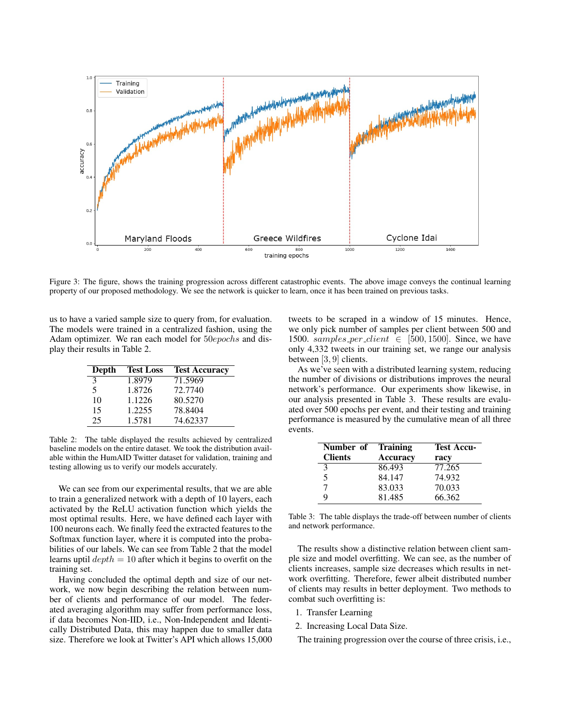<span id="page-3-2"></span>

Figure 3: The figure, shows the training progression across different catastrophic events. The above image conveys the continual learning property of our proposed methodology. We see the network is quicker to learn, once it has been trained on previous tasks.

us to have a varied sample size to query from, for evaluation. The models were trained in a centralized fashion, using the Adam optimizer. We ran each model for 50epochs and display their results in Table [2.](#page-3-0)

<span id="page-3-0"></span>

| Depth         | <b>Test Loss</b> | <b>Test Accuracy</b> |
|---------------|------------------|----------------------|
| $\mathcal{F}$ | 1.8979           | 71.5969              |
| 5             | 1.8726           | 72.7740              |
| 10            | 1.1226           | 80.5270              |
| 15            | 1.2255           | 78.8404              |
| 25            | 1.5781           | 74.62337             |

Table 2: The table displayed the results achieved by centralized baseline models on the entire dataset. We took the distribution available within the HumAID Twitter dataset for validation, training and testing allowing us to verify our models accurately.

We can see from our experimental results, that we are able to train a generalized network with a depth of 10 layers, each activated by the ReLU activation function which yields the most optimal results. Here, we have defined each layer with 100 neurons each. We finally feed the extracted features to the Softmax function layer, where it is computed into the probabilities of our labels. We can see from Table [2](#page-3-0) that the model learns uptil  $depth = 10$  after which it begins to overfit on the training set.

Having concluded the optimal depth and size of our network, we now begin describing the relation between number of clients and performance of our model. The federated averaging algorithm may suffer from performance loss, if data becomes Non-IID, i.e., Non-Independent and Identically Distributed Data, this may happen due to smaller data size. Therefore we look at Twitter's API which allows 15,000 tweets to be scraped in a window of 15 minutes. Hence, we only pick number of samples per client between 500 and 1500. samples per client  $\in$  [500, 1500]. Since, we have only 4,332 tweets in our training set, we range our analysis between [3, 9] clients.

As we've seen with a distributed learning system, reducing the number of divisions or distributions improves the neural network's performance. Our experiments show likewise, in our analysis presented in Table [3.](#page-3-1) These results are evaluated over 500 epochs per event, and their testing and training performance is measured by the cumulative mean of all three events.

<span id="page-3-1"></span>

| Number of      | <b>Training</b> | <b>Test Accu-</b> |
|----------------|-----------------|-------------------|
| <b>Clients</b> | Accuracy        | racy              |
| 3              | 86.493          | 77.265            |
| 5              | 84.147          | 74.932            |
|                | 83.033          | 70.033            |
| Q              | 81.485          | 66.362            |

Table 3: The table displays the trade-off between number of clients and network performance.

The results show a distinctive relation between client sample size and model overfitting. We can see, as the number of clients increases, sample size decreases which results in network overfitting. Therefore, fewer albeit distributed number of clients may results in better deployment. Two methods to combat such overfitting is:

- 1. Transfer Learning
- 2. Increasing Local Data Size.

The training progression over the course of three crisis, i.e.,